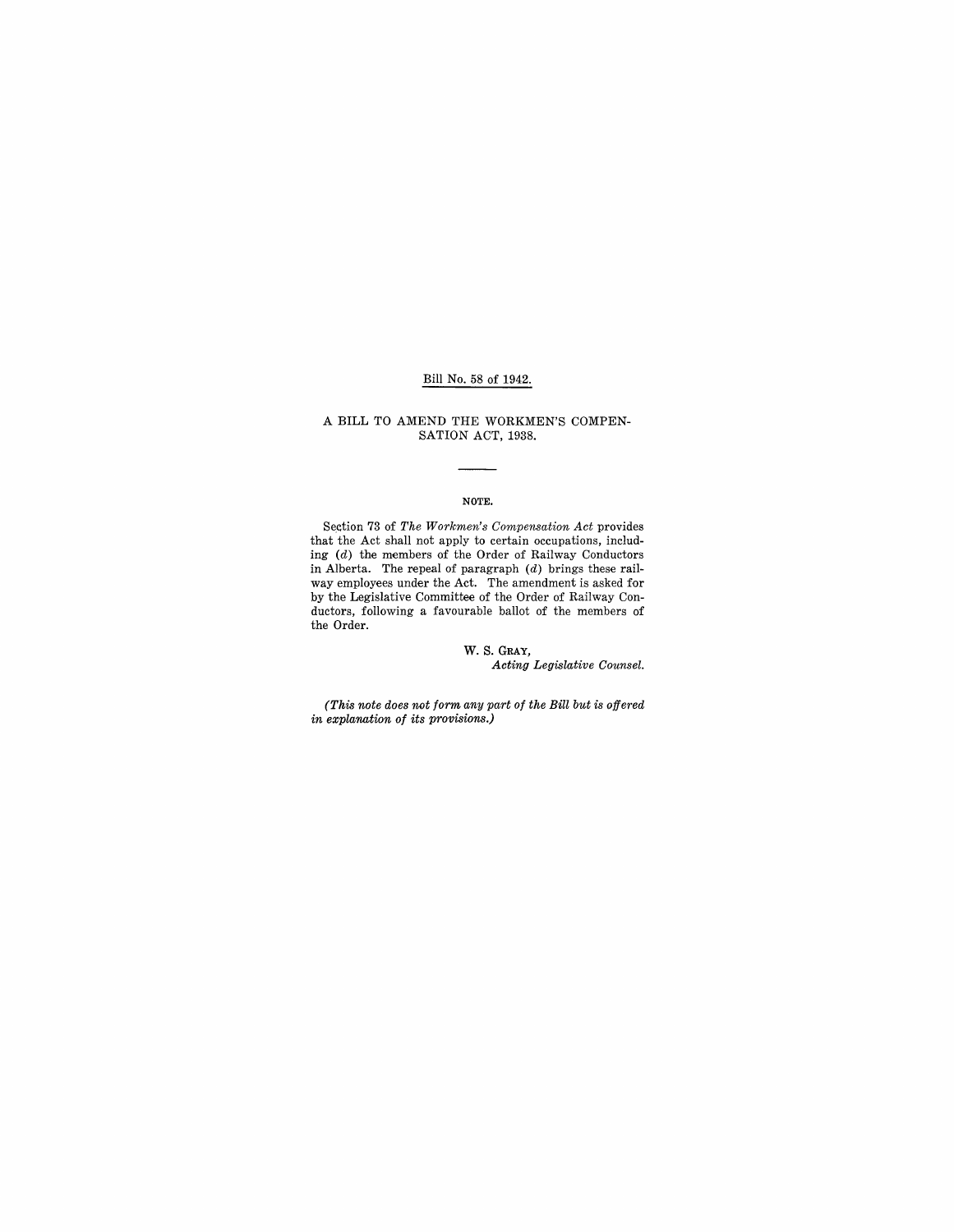## Bill No. 58 of 1942.

#### A **BILL** TO AMEND THE WORKMEN'S COMPEN-SATION ACT, 1938.

#### NOTE.

Section 73 of *The Workmen's Compensation Act* provides that the Act shall not apply to certain occupations, including (d) the members of the Order of Railway Conductors in Alberta. The repeal of paragraph  $(d)$  brings these railway employees under the Act. The amendment is asked for by the Legislative Committee of the Order of Railway Conductors, following a favourable ballot of the members of the Order.

#### W. S. GRAY, *Acting Legislative Counsel.*

*(This note does not form any part of the Bill but is offered in explanation of its provisions.)*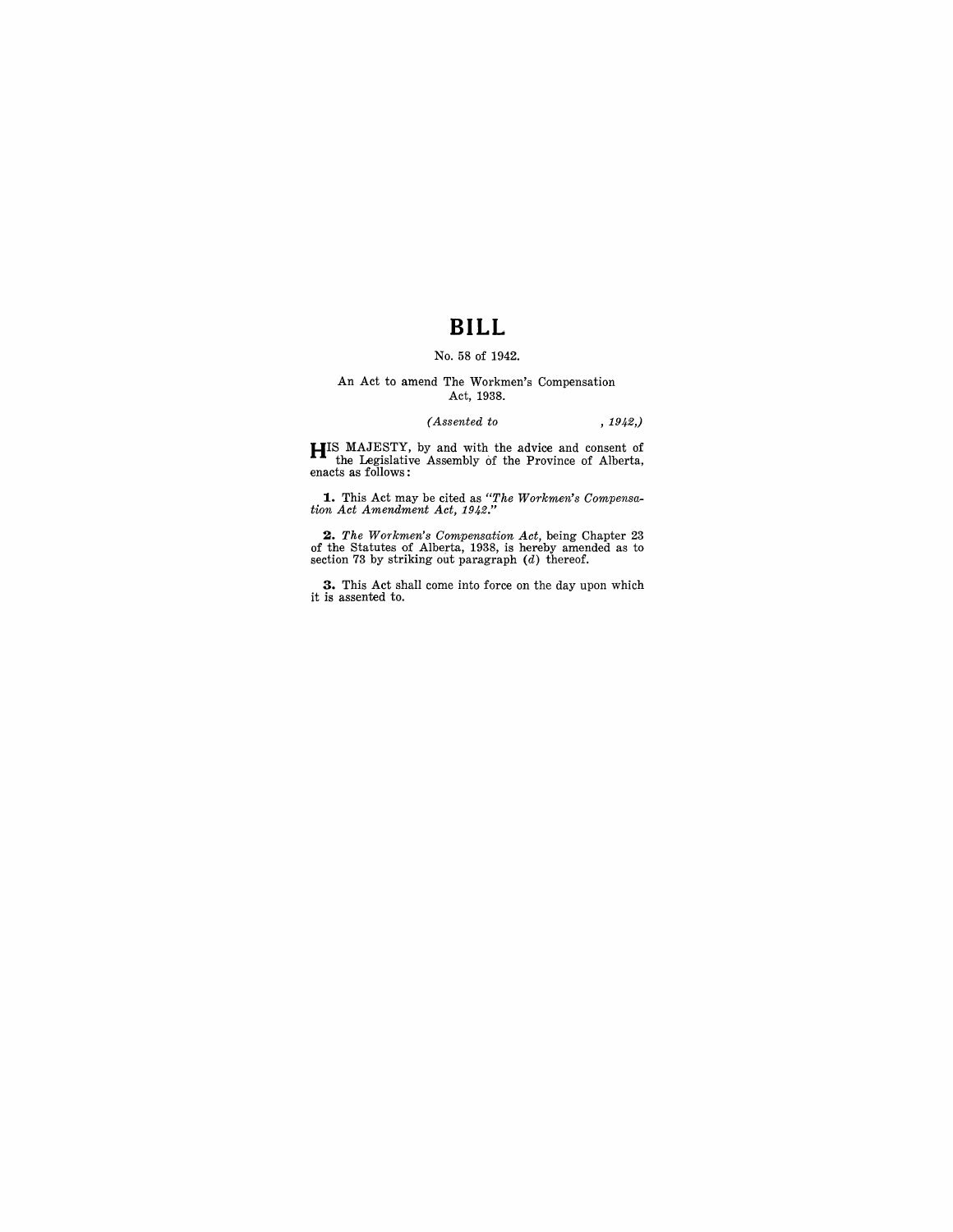## **BILL**

### No. 58 of 1942.

#### An Act to amend The Workmen's Compensation Act, 1938.

## *(Assented to* , 1942,)

**HIS** MAJESTY, by and with the advice and consent of the Legislative Assembly of the Province of Alberta, enacts as follows:

**1..** This Act may be cited as *"The Workmen's Compensar tion Act Amendment Act, 1942."* 

**2.** The Workmen's Compensation Act, being Chapter 23 of the Statutes of Alberta, 1938, is hereby amended as to section 73 by striking out paragraph (d) thereof.

**3.** This Act shall come into force on the day upon which it is assented to.